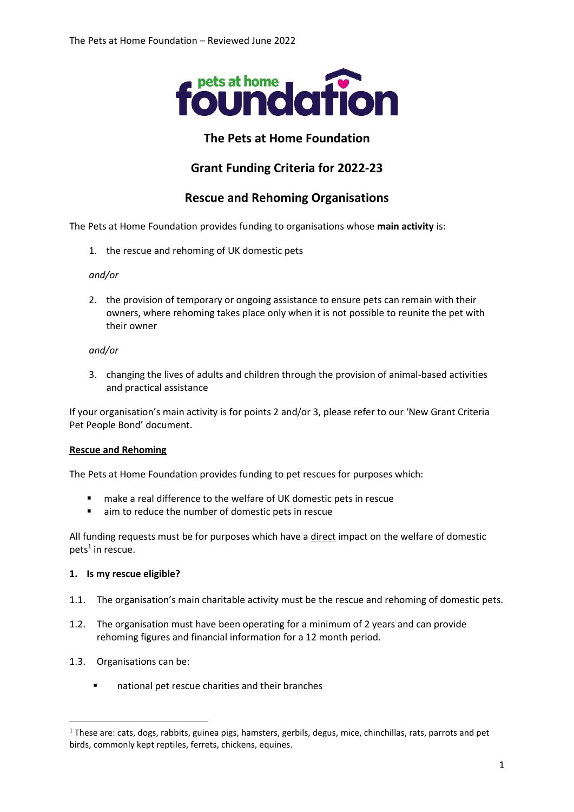

## **The Pets at Home Foundation**

# **Grant Funding Criteria for 2022-23**

### **Rescue and Rehoming Organisations**

The Pets at Home Foundation provides funding to organisations whose **main activity** is:

1. the rescue and rehoming of UK domestic pets

### *and/or*

2. the provision of temporary or ongoing assistance to ensure pets can remain with their owners, where rehoming takes place only when it is not possible to reunite the pet with their owner

#### *and/or*

3. changing the lives of adults and children through the provision of animal-based activities and practical assistance

If your organisation's main activity is for points 2 and/or 3, please refer to our 'New Grant Criteria Pet People Bond' document.

### **Rescue and Rehoming**

The Pets at Home Foundation provides funding to pet rescues for purposes which:

- make a real difference to the welfare of UK domestic pets in rescue
- aim to reduce the number of domestic pets in rescue

All funding requests must be for purposes which have a direct impact on the welfare of domestic  $pets<sup>1</sup>$  in rescue.

### **1. Is my rescue eligible?**

- 1.1. The organisation's main charitable activity must be the rescue and rehoming of domestic pets.
- 1.2. The organisation must have been operating for a minimum of 2 years and can provide rehoming figures and financial information for a 12 month period.
- 1.3. Organisations can be:
	- national pet rescue charities and their branches

<sup>&</sup>lt;sup>1</sup> These are: cats, dogs, rabbits, guinea pigs, hamsters, gerbils, degus, mice, chinchillas, rats, parrots and pet birds, commonly kept reptiles, ferrets, chickens, equines.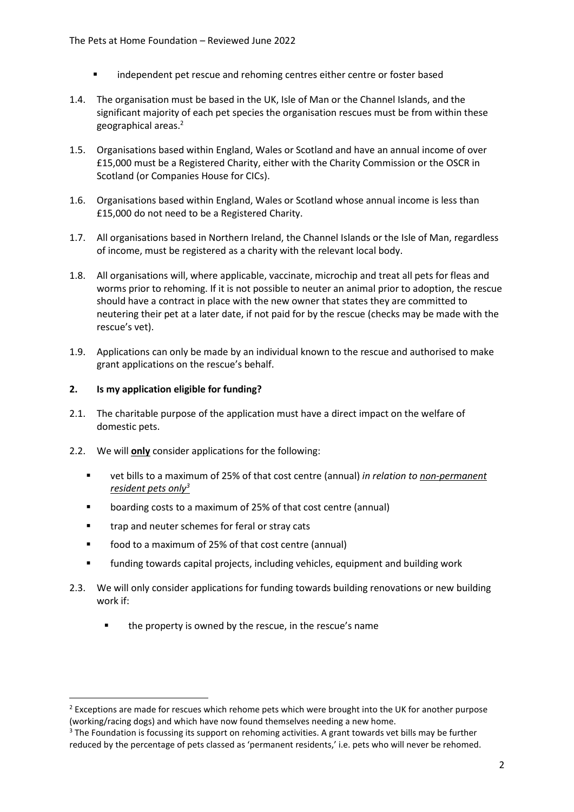- independent pet rescue and rehoming centres either centre or foster based
- 1.4. The organisation must be based in the UK, Isle of Man or the Channel Islands, and the significant majority of each pet species the organisation rescues must be from within these geographical areas.<sup>2</sup>
- 1.5. Organisations based within England, Wales or Scotland and have an annual income of over £15,000 must be a Registered Charity, either with the Charity Commission or the OSCR in Scotland (or Companies House for CICs).
- 1.6. Organisations based within England, Wales or Scotland whose annual income is less than £15,000 do not need to be a Registered Charity.
- 1.7. All organisations based in Northern Ireland, the Channel Islands or the Isle of Man, regardless of income, must be registered as a charity with the relevant local body.
- 1.8. All organisations will, where applicable, vaccinate, microchip and treat all pets for fleas and worms prior to rehoming. If it is not possible to neuter an animal prior to adoption, the rescue should have a contract in place with the new owner that states they are committed to neutering their pet at a later date, if not paid for by the rescue (checks may be made with the rescue's vet).
- 1.9. Applications can only be made by an individual known to the rescue and authorised to make grant applications on the rescue's behalf.

### **2. Is my application eligible for funding?**

- 2.1. The charitable purpose of the application must have a direct impact on the welfare of domestic pets.
- 2.2. We will **only** consider applications for the following:
	- vet bills to a maximum of 25% of that cost centre (annual) *in relation to non-permanent resident pets only<sup>3</sup>*
	- boarding costs to a maximum of 25% of that cost centre (annual)
	- trap and neuter schemes for feral or stray cats
	- food to a maximum of 25% of that cost centre (annual)
	- funding towards capital projects, including vehicles, equipment and building work
- 2.3. We will only consider applications for funding towards building renovations or new building work if:
	- the property is owned by the rescue, in the rescue's name

<sup>&</sup>lt;sup>2</sup> Exceptions are made for rescues which rehome pets which were brought into the UK for another purpose (working/racing dogs) and which have now found themselves needing a new home.

 $3$  The Foundation is focussing its support on rehoming activities. A grant towards vet bills may be further reduced by the percentage of pets classed as 'permanent residents,' i.e. pets who will never be rehomed.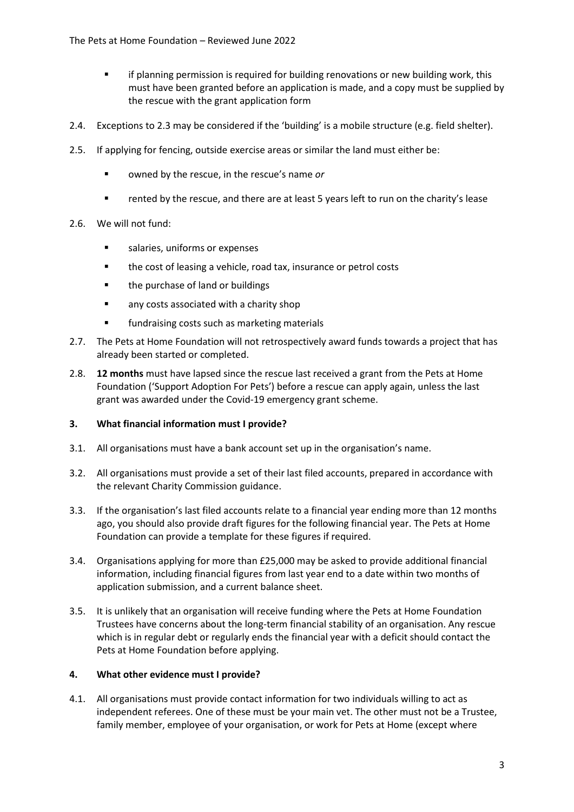- **■** if planning permission is required for building renovations or new building work, this must have been granted before an application is made, and a copy must be supplied by the rescue with the grant application form
- 2.4. Exceptions to 2.3 may be considered if the 'building' is a mobile structure (e.g. field shelter).
- 2.5. If applying for fencing, outside exercise areas or similar the land must either be:
	- owned by the rescue, in the rescue's name *or*
	- rented by the rescue, and there are at least 5 years left to run on the charity's lease
- 2.6. We will not fund:
	- salaries, uniforms or expenses
	- the cost of leasing a vehicle, road tax, insurance or petrol costs
	- the purchase of land or buildings
	- any costs associated with a charity shop
	- fundraising costs such as marketing materials
- 2.7. The Pets at Home Foundation will not retrospectively award funds towards a project that has already been started or completed.
- 2.8. **12 months** must have lapsed since the rescue last received a grant from the Pets at Home Foundation ('Support Adoption For Pets') before a rescue can apply again, unless the last grant was awarded under the Covid-19 emergency grant scheme.

### **3. What financial information must I provide?**

- 3.1. All organisations must have a bank account set up in the organisation's name.
- 3.2. All organisations must provide a set of their last filed accounts, prepared in accordance with the relevant Charity Commission guidance.
- 3.3. If the organisation's last filed accounts relate to a financial year ending more than 12 months ago, you should also provide draft figures for the following financial year. The Pets at Home Foundation can provide a template for these figures if required.
- 3.4. Organisations applying for more than £25,000 may be asked to provide additional financial information, including financial figures from last year end to a date within two months of application submission, and a current balance sheet.
- 3.5. It is unlikely that an organisation will receive funding where the Pets at Home Foundation Trustees have concerns about the long-term financial stability of an organisation. Any rescue which is in regular debt or regularly ends the financial year with a deficit should contact the Pets at Home Foundation before applying.

### **4. What other evidence must I provide?**

4.1. All organisations must provide contact information for two individuals willing to act as independent referees. One of these must be your main vet. The other must not be a Trustee, family member, employee of your organisation, or work for Pets at Home (except where